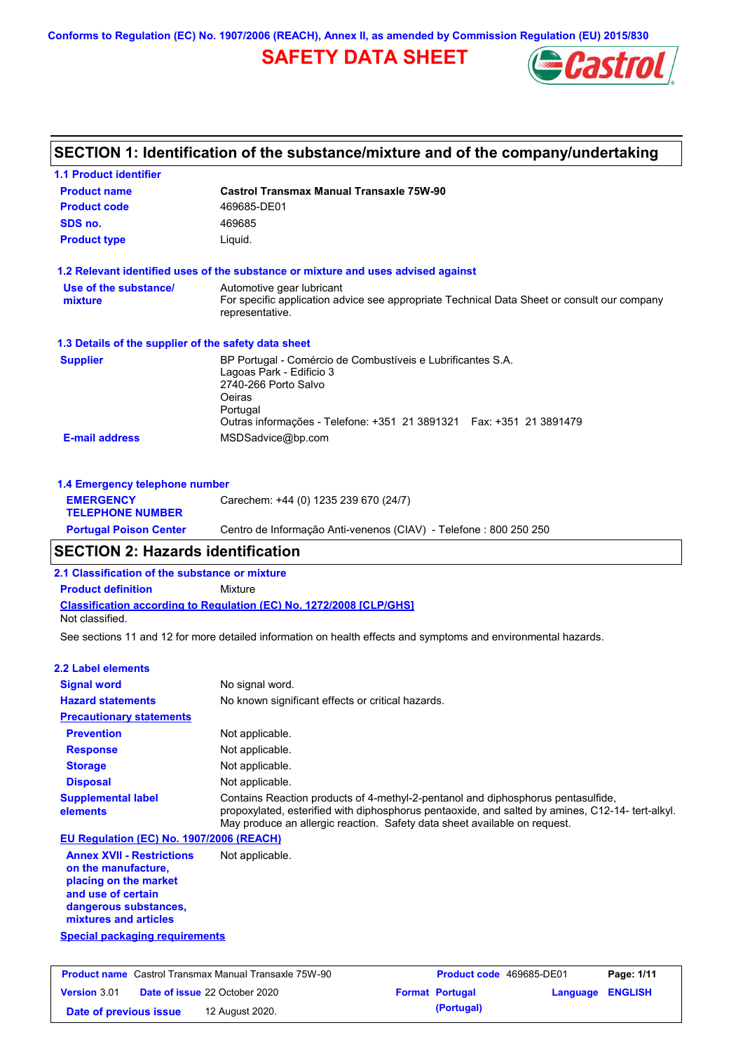**Conforms to Regulation (EC) No. 1907/2006 (REACH), Annex II, as amended by Commission Regulation (EU) 2015/830**

# **SAFETY DATA SHEET**



# **SECTION 1: Identification of the substance/mixture and of the company/undertaking**

| <b>1.1 Product identifier</b>                        |                                                                                                                                                                                                               |
|------------------------------------------------------|---------------------------------------------------------------------------------------------------------------------------------------------------------------------------------------------------------------|
| <b>Product name</b>                                  | <b>Castrol Transmax Manual Transaxle 75W-90</b>                                                                                                                                                               |
| <b>Product code</b>                                  | 469685-DE01                                                                                                                                                                                                   |
| SDS no.                                              | 469685                                                                                                                                                                                                        |
| <b>Product type</b>                                  | Liquid.                                                                                                                                                                                                       |
|                                                      | 1.2 Relevant identified uses of the substance or mixture and uses advised against                                                                                                                             |
| Use of the substance/<br>mixture                     | Automotive gear lubricant<br>For specific application advice see appropriate Technical Data Sheet or consult our company<br>representative.                                                                   |
| 1.3 Details of the supplier of the safety data sheet |                                                                                                                                                                                                               |
| <b>Supplier</b>                                      | BP Portugal - Comércio de Combustíveis e Lubrificantes S.A.<br>Lagoas Park - Edificio 3<br>2740-266 Porto Salvo<br>Oeiras<br>Portugal<br>Outras informações - Telefone: +351 21 3891321  Fax: +351 21 3891479 |
| <b>E-mail address</b>                                | MSDSadvice@bp.com                                                                                                                                                                                             |
| 1.4 Emergency telephone number                       |                                                                                                                                                                                                               |

| -----------                                 |                                                                   |
|---------------------------------------------|-------------------------------------------------------------------|
| <b>Portugal Poison Center</b>               | Centro de Informação Anti-venenos (CIAV) - Telefone : 800 250 250 |
| <b>EMERGENCY</b><br><b>TELEPHONE NUMBER</b> | Carechem: +44 (0) 1235 239 670 (24/7)                             |
|                                             |                                                                   |

# **SECTION 2: Hazards identification**

**2.1 Classification of the substance or mixture**

**Product definition** Mixture

**Classification according to Regulation (EC) No. 1272/2008 [CLP/GHS]** Not classified.

See sections 11 and 12 for more detailed information on health effects and symptoms and environmental hazards.

### **2.2 Label elements**

| <b>Signal word</b>                                                                                     | No signal word.                                                                                                                                                                                                                                                   |
|--------------------------------------------------------------------------------------------------------|-------------------------------------------------------------------------------------------------------------------------------------------------------------------------------------------------------------------------------------------------------------------|
| <b>Hazard statements</b>                                                                               | No known significant effects or critical hazards.                                                                                                                                                                                                                 |
| <b>Precautionary statements</b>                                                                        |                                                                                                                                                                                                                                                                   |
| <b>Prevention</b>                                                                                      | Not applicable.                                                                                                                                                                                                                                                   |
| <b>Response</b>                                                                                        | Not applicable.                                                                                                                                                                                                                                                   |
| <b>Storage</b>                                                                                         | Not applicable.                                                                                                                                                                                                                                                   |
| <b>Disposal</b>                                                                                        | Not applicable.                                                                                                                                                                                                                                                   |
| <b>Supplemental label</b><br>elements                                                                  | Contains Reaction products of 4-methyl-2-pentanol and diphosphorus pentasulfide.<br>propoxylated, esterified with diphosphorus pentaoxide, and salted by amines, C12-14- tert-alkyl.<br>May produce an allergic reaction. Safety data sheet available on request. |
| EU Regulation (EC) No. 1907/2006 (REACH)                                                               |                                                                                                                                                                                                                                                                   |
| <b>Annex XVII - Restrictions</b><br>on the manufacture.<br>placing on the market<br>and use of certain | Not applicable.                                                                                                                                                                                                                                                   |

**and use of certain dangerous substances, mixtures and articles**

## **Special packaging requirements**

| <b>Product name</b> Castrol Transmax Manual Transaxle 75W-90 |                 | <b>Product code</b> 469685-DE01 |                  | Page: 1/11 |
|--------------------------------------------------------------|-----------------|---------------------------------|------------------|------------|
| <b>Date of issue 22 October 2020</b><br><b>Version 3.01</b>  |                 | <b>Format Portugal</b>          | Language ENGLISH |            |
| Date of previous issue                                       | 12 August 2020. | (Portugal)                      |                  |            |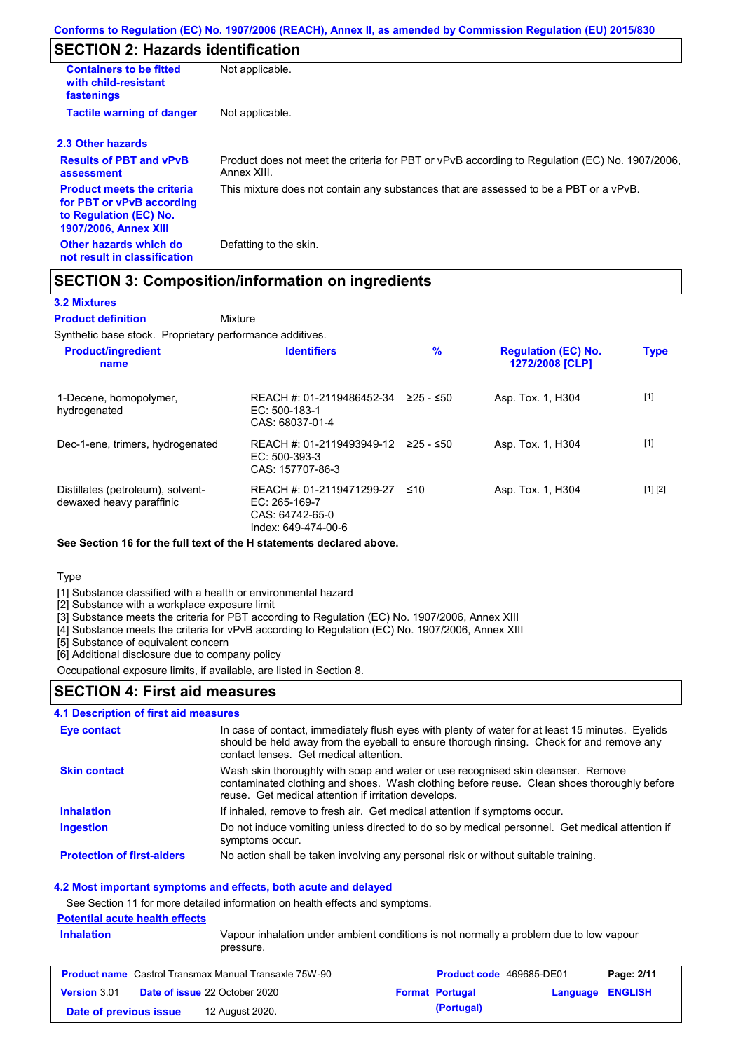# **SECTION 2: Hazards identification**

| <b>Containers to be fitted</b><br>with child-resistant<br>fastenings                                                     | Not applicable.                                                                                               |  |  |
|--------------------------------------------------------------------------------------------------------------------------|---------------------------------------------------------------------------------------------------------------|--|--|
| <b>Tactile warning of danger</b><br>Not applicable.                                                                      |                                                                                                               |  |  |
| 2.3 Other hazards                                                                                                        |                                                                                                               |  |  |
| <b>Results of PBT and vPvB</b><br>assessment                                                                             | Product does not meet the criteria for PBT or vPvB according to Regulation (EC) No. 1907/2006,<br>Annex XIII. |  |  |
| <b>Product meets the criteria</b><br>for PBT or vPvB according<br>to Regulation (EC) No.<br><b>1907/2006, Annex XIII</b> | This mixture does not contain any substances that are assessed to be a PBT or a vPvB.                         |  |  |
| Other hazards which do<br>not result in classification                                                                   | Defatting to the skin.                                                                                        |  |  |

## **SECTION 3: Composition/information on ingredients**

### **3.2 Mixtures**

Mixture **Product definition**

Synthetic base stock. Proprietary performance additives.

| <b>Product/ingredient</b><br>name                             | <b>Identifiers</b>                                                                     | %         | <b>Regulation (EC) No.</b><br>1272/2008 [CLP] | <b>Type</b> |
|---------------------------------------------------------------|----------------------------------------------------------------------------------------|-----------|-----------------------------------------------|-------------|
| 1-Decene, homopolymer,<br>hydrogenated                        | REACH #: 01-2119486452-34<br>EC: 500-183-1<br>CAS: 68037-01-4                          | 225 - ≤50 | Asp. Tox. 1, H304                             | $[1]$       |
| Dec-1-ene, trimers, hydrogenated                              | REACH #: 01-2119493949-12<br>$EC: 500-393-3$<br>CAS: 157707-86-3                       | 225 - ≤50 | Asp. Tox. 1, H304                             | $[1]$       |
| Distillates (petroleum), solvent-<br>dewaxed heavy paraffinic | REACH #: 01-2119471299-27<br>$EC: 265-169-7$<br>CAS: 64742-65-0<br>Index: 649-474-00-6 | ≤10       | Asp. Tox. 1, H304                             | [1] [2]     |

**See Section 16 for the full text of the H statements declared above.**

#### **Type**

[1] Substance classified with a health or environmental hazard

[2] Substance with a workplace exposure limit

[3] Substance meets the criteria for PBT according to Regulation (EC) No. 1907/2006, Annex XIII

[4] Substance meets the criteria for vPvB according to Regulation (EC) No. 1907/2006, Annex XIII

[5] Substance of equivalent concern

[6] Additional disclosure due to company policy

Occupational exposure limits, if available, are listed in Section 8.

## **SECTION 4: First aid measures**

## **4.1 Description of first aid measures**

| Eye contact                       | In case of contact, immediately flush eyes with plenty of water for at least 15 minutes. Eyelids<br>should be held away from the eyeball to ensure thorough rinsing. Check for and remove any<br>contact lenses. Get medical attention. |
|-----------------------------------|-----------------------------------------------------------------------------------------------------------------------------------------------------------------------------------------------------------------------------------------|
| <b>Skin contact</b>               | Wash skin thoroughly with soap and water or use recognised skin cleanser. Remove<br>contaminated clothing and shoes. Wash clothing before reuse. Clean shoes thoroughly before<br>reuse. Get medical attention if irritation develops.  |
| <b>Inhalation</b>                 | If inhaled, remove to fresh air. Get medical attention if symptoms occur.                                                                                                                                                               |
| <b>Ingestion</b>                  | Do not induce vomiting unless directed to do so by medical personnel. Get medical attention if<br>symptoms occur.                                                                                                                       |
| <b>Protection of first-aiders</b> | No action shall be taken involving any personal risk or without suitable training.                                                                                                                                                      |

### **4.2 Most important symptoms and effects, both acute and delayed**

See Section 11 for more detailed information on health effects and symptoms.

## **Potential acute health effects**

| <b>Inhalation</b> | pressure.                                                    | Vapour inhalation under ambient conditions is not normally a problem due to low vapour |            |
|-------------------|--------------------------------------------------------------|----------------------------------------------------------------------------------------|------------|
|                   | <b>Product name</b> Castrol Transmax Manual Transaxle 75W-90 | <b>Product code</b> 469685-DF01                                                        | Page: 2/11 |

| <b>Product name</b> Castrol Transmax Manual Transaxle 75W-90 |                                      | <b>Product code</b> 469685-DE01 |                        | Page: 2/11       |  |
|--------------------------------------------------------------|--------------------------------------|---------------------------------|------------------------|------------------|--|
| <b>Version 3.01</b>                                          | <b>Date of issue 22 October 2020</b> |                                 | <b>Format Portugal</b> | Language ENGLISH |  |
| Date of previous issue                                       | 12 August 2020.                      |                                 | (Portugal)             |                  |  |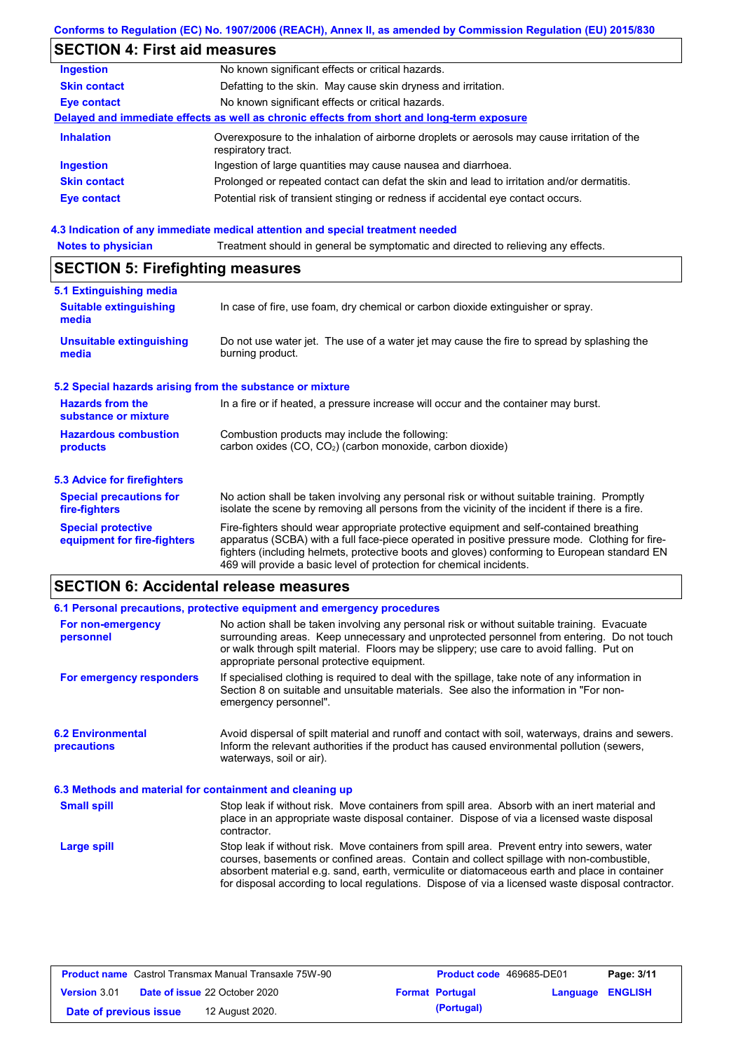# **Conforms to Regulation (EC) No. 1907/2006 (REACH), Annex II, as amended by Commission Regulation (EU) 2015/830**

# **SECTION 4: First aid measures**

| <b>Ingestion</b>    | No known significant effects or critical hazards.                                                                 |
|---------------------|-------------------------------------------------------------------------------------------------------------------|
| <b>Skin contact</b> | Defatting to the skin. May cause skin dryness and irritation.                                                     |
| <b>Eye contact</b>  | No known significant effects or critical hazards.                                                                 |
|                     | Delayed and immediate effects as well as chronic effects from short and long-term exposure                        |
| <b>Inhalation</b>   | Overexposure to the inhalation of airborne droplets or aerosols may cause irritation of the<br>respiratory tract. |
| <b>Ingestion</b>    | Ingestion of large quantities may cause nausea and diarrhoea.                                                     |
| <b>Skin contact</b> | Prolonged or repeated contact can defat the skin and lead to irritation and/or dermatitis.                        |
| <b>Eye contact</b>  | Potential risk of transient stinging or redness if accidental eye contact occurs.                                 |
|                     |                                                                                                                   |

## **4.3 Indication of any immediate medical attention and special treatment needed**

| <b>Notes to physician</b>                                         | Treatment should in general be symptomatic and directed to relieving any effects.                                                                                                                                                                                                                                                                                 |  |  |  |  |
|-------------------------------------------------------------------|-------------------------------------------------------------------------------------------------------------------------------------------------------------------------------------------------------------------------------------------------------------------------------------------------------------------------------------------------------------------|--|--|--|--|
| <b>SECTION 5: Firefighting measures</b>                           |                                                                                                                                                                                                                                                                                                                                                                   |  |  |  |  |
| 5.1 Extinguishing media<br><b>Suitable extinguishing</b><br>media | In case of fire, use foam, dry chemical or carbon dioxide extinguisher or spray.                                                                                                                                                                                                                                                                                  |  |  |  |  |
| <b>Unsuitable extinguishing</b><br>media                          | Do not use water jet. The use of a water jet may cause the fire to spread by splashing the<br>burning product.                                                                                                                                                                                                                                                    |  |  |  |  |
| 5.2 Special hazards arising from the substance or mixture         |                                                                                                                                                                                                                                                                                                                                                                   |  |  |  |  |
| <b>Hazards from the</b><br>substance or mixture                   | In a fire or if heated, a pressure increase will occur and the container may burst.                                                                                                                                                                                                                                                                               |  |  |  |  |
| <b>Hazardous combustion</b><br>products                           | Combustion products may include the following:<br>carbon oxides $(CO, CO2)$ (carbon monoxide, carbon dioxide)                                                                                                                                                                                                                                                     |  |  |  |  |
| 5.3 Advice for firefighters                                       |                                                                                                                                                                                                                                                                                                                                                                   |  |  |  |  |
| <b>Special precautions for</b><br>fire-fighters                   | No action shall be taken involving any personal risk or without suitable training. Promptly<br>isolate the scene by removing all persons from the vicinity of the incident if there is a fire.                                                                                                                                                                    |  |  |  |  |
| <b>Special protective</b><br>equipment for fire-fighters          | Fire-fighters should wear appropriate protective equipment and self-contained breathing<br>apparatus (SCBA) with a full face-piece operated in positive pressure mode. Clothing for fire-<br>fighters (including helmets, protective boots and gloves) conforming to European standard EN<br>469 will provide a basic level of protection for chemical incidents. |  |  |  |  |

# **SECTION 6: Accidental release measures**

|                                                          | 6.1 Personal precautions, protective equipment and emergency procedures                                                                                                                                                                                                                                                                                                                        |  |  |
|----------------------------------------------------------|------------------------------------------------------------------------------------------------------------------------------------------------------------------------------------------------------------------------------------------------------------------------------------------------------------------------------------------------------------------------------------------------|--|--|
| For non-emergency<br>personnel                           | No action shall be taken involving any personal risk or without suitable training. Evacuate<br>surrounding areas. Keep unnecessary and unprotected personnel from entering. Do not touch<br>or walk through spilt material. Floors may be slippery; use care to avoid falling. Put on<br>appropriate personal protective equipment.                                                            |  |  |
| For emergency responders                                 | If specialised clothing is required to deal with the spillage, take note of any information in<br>Section 8 on suitable and unsuitable materials. See also the information in "For non-<br>emergency personnel".                                                                                                                                                                               |  |  |
| <b>6.2 Environmental</b><br><b>precautions</b>           | Avoid dispersal of spilt material and runoff and contact with soil, waterways, drains and sewers.<br>Inform the relevant authorities if the product has caused environmental pollution (sewers,<br>waterways, soil or air).                                                                                                                                                                    |  |  |
| 6.3 Methods and material for containment and cleaning up |                                                                                                                                                                                                                                                                                                                                                                                                |  |  |
| <b>Small spill</b>                                       | Stop leak if without risk. Move containers from spill area. Absorb with an inert material and<br>place in an appropriate waste disposal container. Dispose of via a licensed waste disposal<br>contractor.                                                                                                                                                                                     |  |  |
| <b>Large spill</b>                                       | Stop leak if without risk. Move containers from spill area. Prevent entry into sewers, water<br>courses, basements or confined areas. Contain and collect spillage with non-combustible,<br>absorbent material e.g. sand, earth, vermiculite or diatomaceous earth and place in container<br>for disposal according to local regulations. Dispose of via a licensed waste disposal contractor. |  |  |

| <b>Product name</b> Castrol Transmax Manual Transaxle 75W-90 |  |                                      | <b>Product code</b> 469685-DE01 |                        | Page: 3/11              |  |
|--------------------------------------------------------------|--|--------------------------------------|---------------------------------|------------------------|-------------------------|--|
| <b>Version 3.01</b>                                          |  | <b>Date of issue 22 October 2020</b> |                                 | <b>Format Portugal</b> | <b>Language ENGLISH</b> |  |
| Date of previous issue                                       |  | 12 August 2020.                      |                                 | (Portugal)             |                         |  |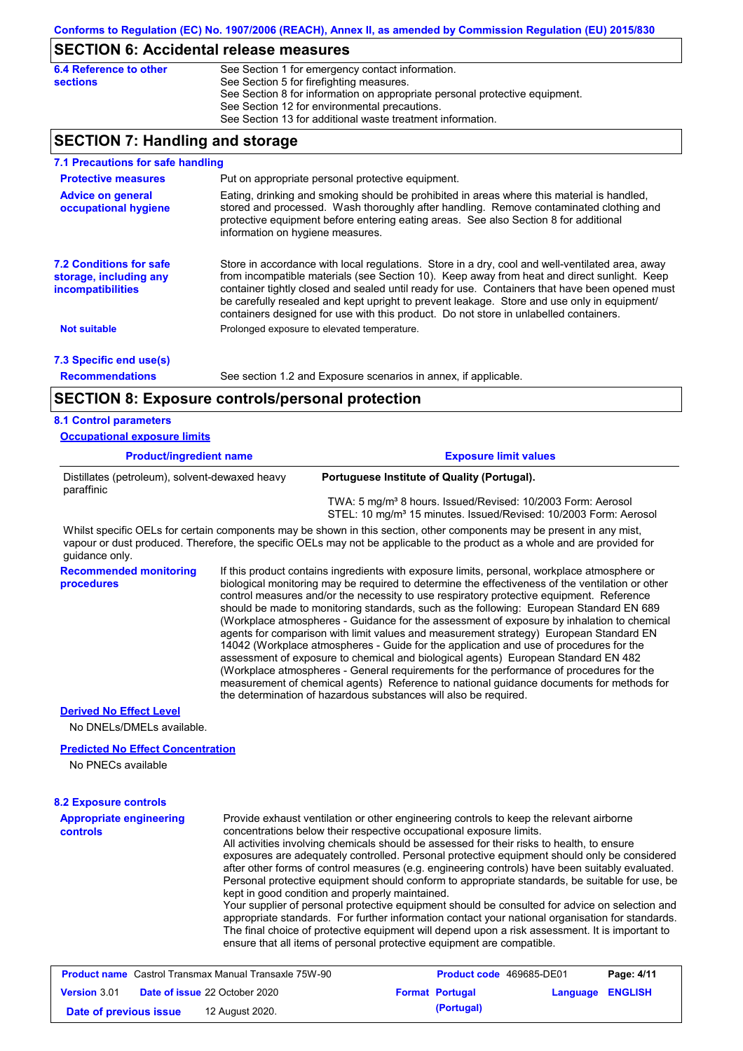## **SECTION 6: Accidental release measures**

# **SECTION 7: Handling and storage**

| 7.1 Precautions for safe handling                                             |                                                                                                                                                                                                                                                                                                                                                                                                                                                                                          |  |  |  |  |
|-------------------------------------------------------------------------------|------------------------------------------------------------------------------------------------------------------------------------------------------------------------------------------------------------------------------------------------------------------------------------------------------------------------------------------------------------------------------------------------------------------------------------------------------------------------------------------|--|--|--|--|
| <b>Protective measures</b>                                                    | Put on appropriate personal protective equipment.                                                                                                                                                                                                                                                                                                                                                                                                                                        |  |  |  |  |
| <b>Advice on general</b><br>occupational hygiene                              | Eating, drinking and smoking should be prohibited in areas where this material is handled,<br>stored and processed. Wash thoroughly after handling. Remove contaminated clothing and<br>protective equipment before entering eating areas. See also Section 8 for additional<br>information on hygiene measures.                                                                                                                                                                         |  |  |  |  |
| <b>7.2 Conditions for safe</b><br>storage, including any<br>incompatibilities | Store in accordance with local regulations. Store in a dry, cool and well-ventilated area, away<br>from incompatible materials (see Section 10). Keep away from heat and direct sunlight. Keep<br>container tightly closed and sealed until ready for use. Containers that have been opened must<br>be carefully resealed and kept upright to prevent leakage. Store and use only in equipment/<br>containers designed for use with this product. Do not store in unlabelled containers. |  |  |  |  |
| <b>Not suitable</b>                                                           | Prolonged exposure to elevated temperature.                                                                                                                                                                                                                                                                                                                                                                                                                                              |  |  |  |  |
| 7.3 Specific end use(s)                                                       |                                                                                                                                                                                                                                                                                                                                                                                                                                                                                          |  |  |  |  |
| <b>Recommendations</b>                                                        | See section 1.2 and Exposure scenarios in annex, if applicable.                                                                                                                                                                                                                                                                                                                                                                                                                          |  |  |  |  |
|                                                                               | <b>SECTION 8: Exposure controls/personal protection</b>                                                                                                                                                                                                                                                                                                                                                                                                                                  |  |  |  |  |
| <b>8.1 Control parameters</b>                                                 |                                                                                                                                                                                                                                                                                                                                                                                                                                                                                          |  |  |  |  |
| <b>Occupational exposure limits</b>                                           |                                                                                                                                                                                                                                                                                                                                                                                                                                                                                          |  |  |  |  |
| <b>Product/ingredient name</b>                                                | <b>Exposure limit values</b>                                                                                                                                                                                                                                                                                                                                                                                                                                                             |  |  |  |  |
| Distillates (petroleum), solvent-dewaxed heavy<br>paraffinic                  | Portuguese Institute of Quality (Portugal).<br>$TMLA$ , $F \sim L-3$ Q $F \sim L-1$ , $I/D \sim L-1$ , $A Q/0000$ $F \sim L-4$ , $A \sim L-1$                                                                                                                                                                                                                                                                                                                                            |  |  |  |  |
|                                                                               |                                                                                                                                                                                                                                                                                                                                                                                                                                                                                          |  |  |  |  |

 TWA: 5 mg/m³ 8 hours. Issued/Revised: 10/2003 Form: Aerosol STEL: 10 mg/m<sup>3</sup> 15 minutes. Issued/Revised: 10/2003 Form: Aerosol

Whilst specific OELs for certain components may be shown in this section, other components may be present in any mist, vapour or dust produced. Therefore, the specific OELs may not be applicable to the product as a whole and are provided for guidance only.

**Recommended monitoring**  If this product contains ingredients with exposure limits, personal, workplace atmosphere or biological monitoring may be required to determine the effectiveness of the ventilation or other control measures and/or the necessity to use respiratory protective equipment. Reference should be made to monitoring standards, such as the following: European Standard EN 689 (Workplace atmospheres - Guidance for the assessment of exposure by inhalation to chemical agents for comparison with limit values and measurement strategy) European Standard EN 14042 (Workplace atmospheres - Guide for the application and use of procedures for the assessment of exposure to chemical and biological agents) European Standard EN 482 (Workplace atmospheres - General requirements for the performance of procedures for the measurement of chemical agents) Reference to national guidance documents for methods for the determination of hazardous substances will also be required.

### **Derived No Effect Level**

**procedures**

No DNELs/DMELs available.

### **Predicted No Effect Concentration**

No PNECs available

# **8.2 Exposure controls**

| <b>Appropriate engineering</b>                           | Provide exhaust ventilation or other engineering controls to keep the relevant airborne                                                                                                                                                                                                                                                                                                                                                            |
|----------------------------------------------------------|----------------------------------------------------------------------------------------------------------------------------------------------------------------------------------------------------------------------------------------------------------------------------------------------------------------------------------------------------------------------------------------------------------------------------------------------------|
| <b>controls</b>                                          | concentrations below their respective occupational exposure limits.                                                                                                                                                                                                                                                                                                                                                                                |
|                                                          | All activities involving chemicals should be assessed for their risks to health, to ensure<br>exposures are adequately controlled. Personal protective equipment should only be considered<br>after other forms of control measures (e.g. engineering controls) have been suitably evaluated.<br>Personal protective equipment should conform to appropriate standards, be suitable for use, be<br>kept in good condition and properly maintained. |
|                                                          | Your supplier of personal protective equipment should be consulted for advice on selection and<br>appropriate standards. For further information contact your national organisation for standards.<br>The final choice of protective equipment will depend upon a risk assessment. It is important to<br>ensure that all items of personal protective equipment are compatible.                                                                    |
| Busilist uses Castral Transmout Manuel Transactor 7FW 00 | <b>Benedict 4144</b><br>Busdiest sade, 10000F BE01                                                                                                                                                                                                                                                                                                                                                                                                 |

| <b>Product name</b> Castrol Transmax Manual Transaxle 75W-90 |                                      | <b>Product code</b> 469685-DE01 |                         | Page: 4/11 |
|--------------------------------------------------------------|--------------------------------------|---------------------------------|-------------------------|------------|
| <b>Version 3.01</b>                                          | <b>Date of issue 22 October 2020</b> | <b>Format Portugal</b>          | <b>Language ENGLISH</b> |            |
| Date of previous issue                                       | 12 August 2020.                      | (Portugal)                      |                         |            |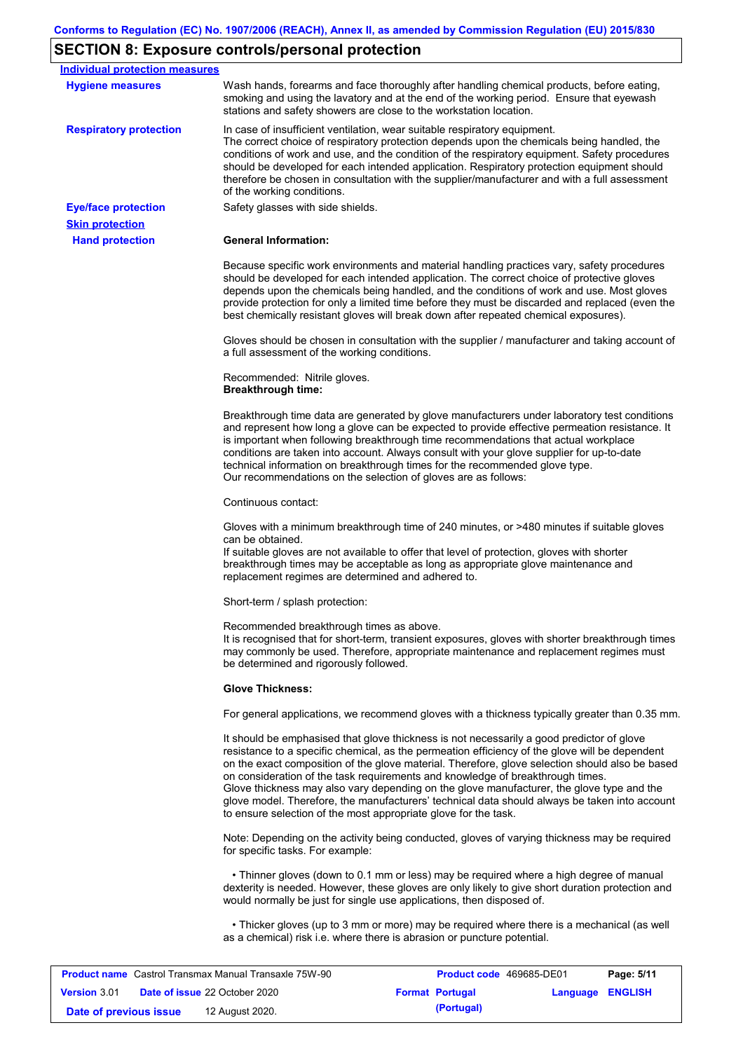# **SECTION 8: Exposure controls/personal protection**

| <b>Individual protection measures</b><br><b>Hygiene measures</b> | Wash hands, forearms and face thoroughly after handling chemical products, before eating,<br>smoking and using the lavatory and at the end of the working period. Ensure that eyewash                                                                                                                                                                                                                                                                                                                                                                                                                                                             |
|------------------------------------------------------------------|---------------------------------------------------------------------------------------------------------------------------------------------------------------------------------------------------------------------------------------------------------------------------------------------------------------------------------------------------------------------------------------------------------------------------------------------------------------------------------------------------------------------------------------------------------------------------------------------------------------------------------------------------|
|                                                                  | stations and safety showers are close to the workstation location.                                                                                                                                                                                                                                                                                                                                                                                                                                                                                                                                                                                |
| <b>Respiratory protection</b>                                    | In case of insufficient ventilation, wear suitable respiratory equipment.<br>The correct choice of respiratory protection depends upon the chemicals being handled, the<br>conditions of work and use, and the condition of the respiratory equipment. Safety procedures<br>should be developed for each intended application. Respiratory protection equipment should<br>therefore be chosen in consultation with the supplier/manufacturer and with a full assessment<br>of the working conditions.                                                                                                                                             |
| <b>Eye/face protection</b>                                       | Safety glasses with side shields.                                                                                                                                                                                                                                                                                                                                                                                                                                                                                                                                                                                                                 |
| <b>Skin protection</b>                                           |                                                                                                                                                                                                                                                                                                                                                                                                                                                                                                                                                                                                                                                   |
| <b>Hand protection</b>                                           | <b>General Information:</b>                                                                                                                                                                                                                                                                                                                                                                                                                                                                                                                                                                                                                       |
|                                                                  | Because specific work environments and material handling practices vary, safety procedures<br>should be developed for each intended application. The correct choice of protective gloves<br>depends upon the chemicals being handled, and the conditions of work and use. Most gloves<br>provide protection for only a limited time before they must be discarded and replaced (even the<br>best chemically resistant gloves will break down after repeated chemical exposures).                                                                                                                                                                  |
|                                                                  | Gloves should be chosen in consultation with the supplier / manufacturer and taking account of<br>a full assessment of the working conditions.                                                                                                                                                                                                                                                                                                                                                                                                                                                                                                    |
|                                                                  | Recommended: Nitrile gloves.<br><b>Breakthrough time:</b>                                                                                                                                                                                                                                                                                                                                                                                                                                                                                                                                                                                         |
|                                                                  | Breakthrough time data are generated by glove manufacturers under laboratory test conditions<br>and represent how long a glove can be expected to provide effective permeation resistance. It<br>is important when following breakthrough time recommendations that actual workplace<br>conditions are taken into account. Always consult with your glove supplier for up-to-date<br>technical information on breakthrough times for the recommended glove type.<br>Our recommendations on the selection of gloves are as follows:                                                                                                                |
|                                                                  | Continuous contact:                                                                                                                                                                                                                                                                                                                                                                                                                                                                                                                                                                                                                               |
|                                                                  | Gloves with a minimum breakthrough time of 240 minutes, or >480 minutes if suitable gloves<br>can be obtained.<br>If suitable gloves are not available to offer that level of protection, gloves with shorter<br>breakthrough times may be acceptable as long as appropriate glove maintenance and<br>replacement regimes are determined and adhered to.                                                                                                                                                                                                                                                                                          |
|                                                                  | Short-term / splash protection:                                                                                                                                                                                                                                                                                                                                                                                                                                                                                                                                                                                                                   |
|                                                                  | Recommended breakthrough times as above.<br>It is recognised that for short-term, transient exposures, gloves with shorter breakthrough times<br>may commonly be used. Therefore, appropriate maintenance and replacement regimes must<br>be determined and rigorously followed.                                                                                                                                                                                                                                                                                                                                                                  |
|                                                                  | <b>Glove Thickness:</b>                                                                                                                                                                                                                                                                                                                                                                                                                                                                                                                                                                                                                           |
|                                                                  | For general applications, we recommend gloves with a thickness typically greater than 0.35 mm.                                                                                                                                                                                                                                                                                                                                                                                                                                                                                                                                                    |
|                                                                  | It should be emphasised that glove thickness is not necessarily a good predictor of glove<br>resistance to a specific chemical, as the permeation efficiency of the glove will be dependent<br>on the exact composition of the glove material. Therefore, glove selection should also be based<br>on consideration of the task requirements and knowledge of breakthrough times.<br>Glove thickness may also vary depending on the glove manufacturer, the glove type and the<br>glove model. Therefore, the manufacturers' technical data should always be taken into account<br>to ensure selection of the most appropriate glove for the task. |
|                                                                  | Note: Depending on the activity being conducted, gloves of varying thickness may be required<br>for specific tasks. For example:                                                                                                                                                                                                                                                                                                                                                                                                                                                                                                                  |
|                                                                  | • Thinner gloves (down to 0.1 mm or less) may be required where a high degree of manual<br>dexterity is needed. However, these gloves are only likely to give short duration protection and<br>would normally be just for single use applications, then disposed of.                                                                                                                                                                                                                                                                                                                                                                              |
|                                                                  |                                                                                                                                                                                                                                                                                                                                                                                                                                                                                                                                                                                                                                                   |

| <b>Product name</b> Castrol Transmax Manual Transaxle 75W-90 |  |                                      | <b>Product code</b> 469685-DE01 |                        | Page: 5/11              |  |
|--------------------------------------------------------------|--|--------------------------------------|---------------------------------|------------------------|-------------------------|--|
| <b>Version 3.01</b>                                          |  | <b>Date of issue 22 October 2020</b> |                                 | <b>Format Portugal</b> | <b>Language ENGLISH</b> |  |
| Date of previous issue                                       |  | 12 August 2020.                      |                                 | (Portugal)             |                         |  |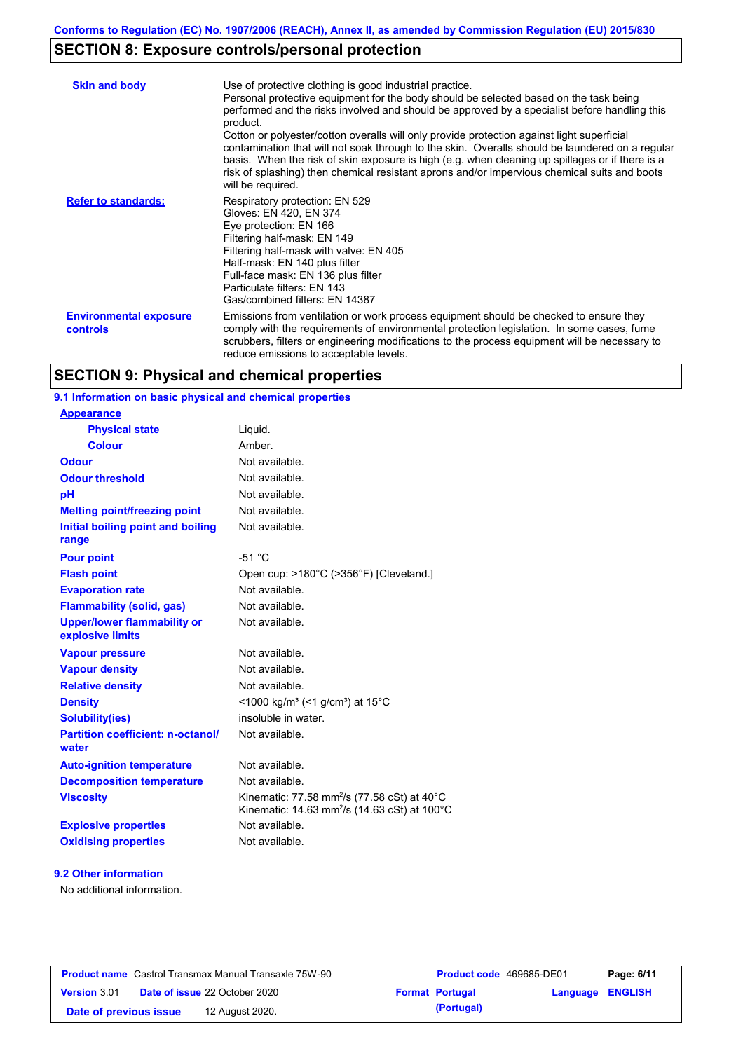# **SECTION 8: Exposure controls/personal protection**

| <b>Skin and body</b>                             | Use of protective clothing is good industrial practice.<br>Personal protective equipment for the body should be selected based on the task being<br>performed and the risks involved and should be approved by a specialist before handling this<br>product.<br>Cotton or polyester/cotton overalls will only provide protection against light superficial<br>contamination that will not soak through to the skin. Overalls should be laundered on a regular<br>basis. When the risk of skin exposure is high (e.g. when cleaning up spillages or if there is a<br>risk of splashing) then chemical resistant aprons and/or impervious chemical suits and boots<br>will be required. |
|--------------------------------------------------|---------------------------------------------------------------------------------------------------------------------------------------------------------------------------------------------------------------------------------------------------------------------------------------------------------------------------------------------------------------------------------------------------------------------------------------------------------------------------------------------------------------------------------------------------------------------------------------------------------------------------------------------------------------------------------------|
| <b>Refer to standards:</b>                       | Respiratory protection: EN 529<br>Gloves: EN 420, EN 374<br>Eye protection: EN 166<br>Filtering half-mask: EN 149<br>Filtering half-mask with valve: EN 405<br>Half-mask: EN 140 plus filter<br>Full-face mask: EN 136 plus filter<br>Particulate filters: EN 143<br>Gas/combined filters: EN 14387                                                                                                                                                                                                                                                                                                                                                                                   |
| <b>Environmental exposure</b><br><b>controls</b> | Emissions from ventilation or work process equipment should be checked to ensure they<br>comply with the requirements of environmental protection legislation. In some cases, fume<br>scrubbers, filters or engineering modifications to the process equipment will be necessary to<br>reduce emissions to acceptable levels.                                                                                                                                                                                                                                                                                                                                                         |

# **SECTION 9: Physical and chemical properties**

# **9.1 Information on basic physical and chemical properties**

| <b>Appearance</b>                                      |                                                                                                                                          |
|--------------------------------------------------------|------------------------------------------------------------------------------------------------------------------------------------------|
| <b>Physical state</b>                                  | Liguid.                                                                                                                                  |
| <b>Colour</b>                                          | Amber.                                                                                                                                   |
| <b>Odour</b>                                           | Not available.                                                                                                                           |
| <b>Odour threshold</b>                                 | Not available.                                                                                                                           |
| pH                                                     | Not available.                                                                                                                           |
| <b>Melting point/freezing point</b>                    | Not available.                                                                                                                           |
| Initial boiling point and boiling<br>range             | Not available.                                                                                                                           |
| <b>Pour point</b>                                      | $-51 °C$                                                                                                                                 |
| <b>Flash point</b>                                     | Open cup: >180°C (>356°F) [Cleveland.]                                                                                                   |
| <b>Evaporation rate</b>                                | Not available.                                                                                                                           |
| <b>Flammability (solid, gas)</b>                       | Not available.                                                                                                                           |
| <b>Upper/lower flammability or</b><br>explosive limits | Not available.                                                                                                                           |
| <b>Vapour pressure</b>                                 | Not available.                                                                                                                           |
| <b>Vapour density</b>                                  | Not available.                                                                                                                           |
| <b>Relative density</b>                                | Not available.                                                                                                                           |
| <b>Density</b>                                         | <1000 kg/m <sup>3</sup> (<1 g/cm <sup>3</sup> ) at 15 <sup>°</sup> C                                                                     |
| <b>Solubility(ies)</b>                                 | insoluble in water.                                                                                                                      |
| <b>Partition coefficient: n-octanol/</b><br>water      | Not available.                                                                                                                           |
| <b>Auto-ignition temperature</b>                       | Not available.                                                                                                                           |
| <b>Decomposition temperature</b>                       | Not available.                                                                                                                           |
| <b>Viscosity</b>                                       | Kinematic: 77.58 mm <sup>2</sup> /s (77.58 cSt) at $40^{\circ}$ C<br>Kinematic: 14.63 mm <sup>2</sup> /s (14.63 cSt) at 100 $^{\circ}$ C |
| <b>Explosive properties</b>                            | Not available.                                                                                                                           |
| <b>Oxidising properties</b>                            | Not available.                                                                                                                           |

### **9.2 Other information**

No additional information.

| <b>Product name</b> Castrol Transmax Manual Transaxle 75W-90 |  |                                      | <b>Product code</b> 469685-DE01 |                        | Page: 6/11              |  |
|--------------------------------------------------------------|--|--------------------------------------|---------------------------------|------------------------|-------------------------|--|
| <b>Version 3.01</b>                                          |  | <b>Date of issue 22 October 2020</b> |                                 | <b>Format Portugal</b> | <b>Language ENGLISH</b> |  |
| Date of previous issue                                       |  | 12 August 2020.                      |                                 | (Portugal)             |                         |  |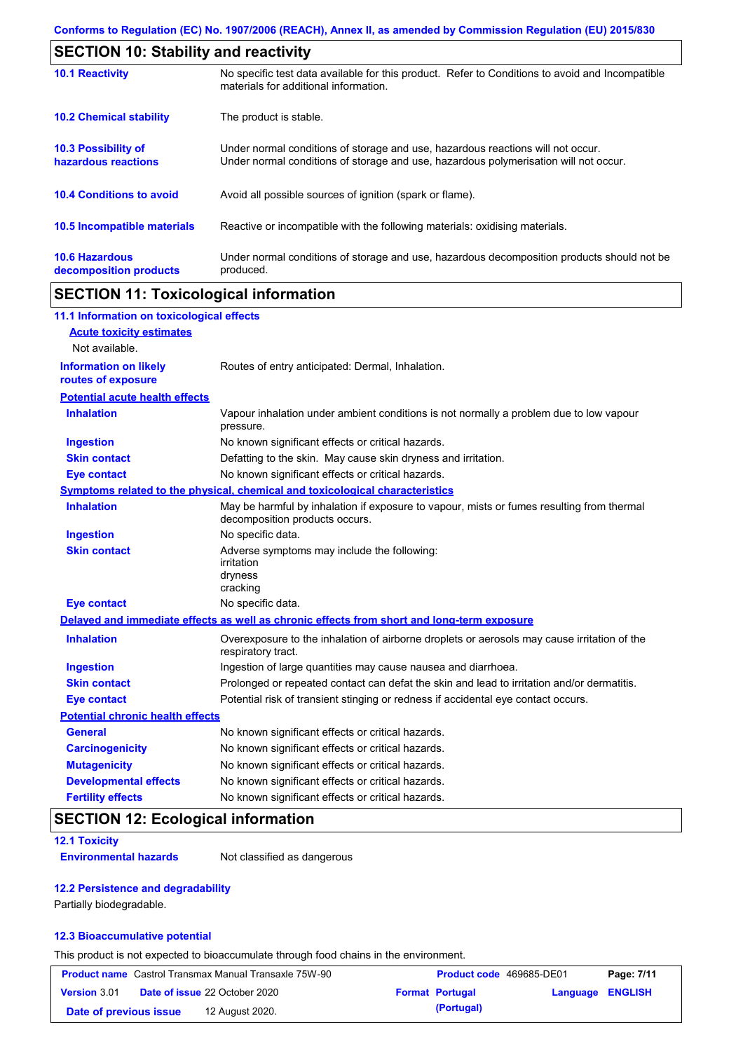| <b>SECTION 10: Stability and reactivity</b>     |                                                                                                                                                                         |  |  |  |
|-------------------------------------------------|-------------------------------------------------------------------------------------------------------------------------------------------------------------------------|--|--|--|
| <b>10.1 Reactivity</b>                          | No specific test data available for this product. Refer to Conditions to avoid and Incompatible<br>materials for additional information.                                |  |  |  |
| <b>10.2 Chemical stability</b>                  | The product is stable.                                                                                                                                                  |  |  |  |
| 10.3 Possibility of<br>hazardous reactions      | Under normal conditions of storage and use, hazardous reactions will not occur.<br>Under normal conditions of storage and use, hazardous polymerisation will not occur. |  |  |  |
| <b>10.4 Conditions to avoid</b>                 | Avoid all possible sources of ignition (spark or flame).                                                                                                                |  |  |  |
| <b>10.5 Incompatible materials</b>              | Reactive or incompatible with the following materials: oxidising materials.                                                                                             |  |  |  |
| <b>10.6 Hazardous</b><br>decomposition products | Under normal conditions of storage and use, hazardous decomposition products should not be<br>produced.                                                                 |  |  |  |

# **SECTION 11: Toxicological information**

| 11.1 Information on toxicological effects          |                                                                                                                             |
|----------------------------------------------------|-----------------------------------------------------------------------------------------------------------------------------|
| <b>Acute toxicity estimates</b>                    |                                                                                                                             |
| Not available.                                     |                                                                                                                             |
| <b>Information on likely</b><br>routes of exposure | Routes of entry anticipated: Dermal, Inhalation.                                                                            |
| <b>Potential acute health effects</b>              |                                                                                                                             |
| <b>Inhalation</b>                                  | Vapour inhalation under ambient conditions is not normally a problem due to low vapour<br>pressure.                         |
| <b>Ingestion</b>                                   | No known significant effects or critical hazards.                                                                           |
| <b>Skin contact</b>                                | Defatting to the skin. May cause skin dryness and irritation.                                                               |
| <b>Eye contact</b>                                 | No known significant effects or critical hazards.                                                                           |
|                                                    | Symptoms related to the physical, chemical and toxicological characteristics                                                |
| <b>Inhalation</b>                                  | May be harmful by inhalation if exposure to vapour, mists or fumes resulting from thermal<br>decomposition products occurs. |
| <b>Ingestion</b>                                   | No specific data.                                                                                                           |
| <b>Skin contact</b>                                | Adverse symptoms may include the following:<br>irritation<br>dryness<br>cracking                                            |
| <b>Eye contact</b>                                 | No specific data.                                                                                                           |
|                                                    | Delayed and immediate effects as well as chronic effects from short and long-term exposure                                  |
| <b>Inhalation</b>                                  | Overexposure to the inhalation of airborne droplets or aerosols may cause irritation of the<br>respiratory tract.           |
| <b>Ingestion</b>                                   | Ingestion of large quantities may cause nausea and diarrhoea.                                                               |
| <b>Skin contact</b>                                | Prolonged or repeated contact can defat the skin and lead to irritation and/or dermatitis.                                  |
| <b>Eye contact</b>                                 | Potential risk of transient stinging or redness if accidental eye contact occurs.                                           |
| <b>Potential chronic health effects</b>            |                                                                                                                             |
| <b>General</b>                                     | No known significant effects or critical hazards.                                                                           |
| <b>Carcinogenicity</b>                             | No known significant effects or critical hazards.                                                                           |
| <b>Mutagenicity</b>                                | No known significant effects or critical hazards.                                                                           |
| <b>Developmental effects</b>                       | No known significant effects or critical hazards.                                                                           |
| <b>Fertility effects</b>                           | No known significant effects or critical hazards.                                                                           |

# **SECTION 12: Ecological information**

### **12.1 Toxicity**

**Environmental hazards** Not classified as dangerous

### **12.2 Persistence and degradability**

Partially biodegradable.

### **12.3 Bioaccumulative potential**

This product is not expected to bioaccumulate through food chains in the environment.

| <b>Product name</b> Castrol Transmax Manual Transaxle 75W-90 |  |                                      | Product code 469685-DE01 | Page: 7/11       |  |
|--------------------------------------------------------------|--|--------------------------------------|--------------------------|------------------|--|
| Version 3.01                                                 |  | <b>Date of issue 22 October 2020</b> | <b>Format Portugal</b>   | Language ENGLISH |  |
| Date of previous issue                                       |  | 12 August 2020.                      | (Portugal)               |                  |  |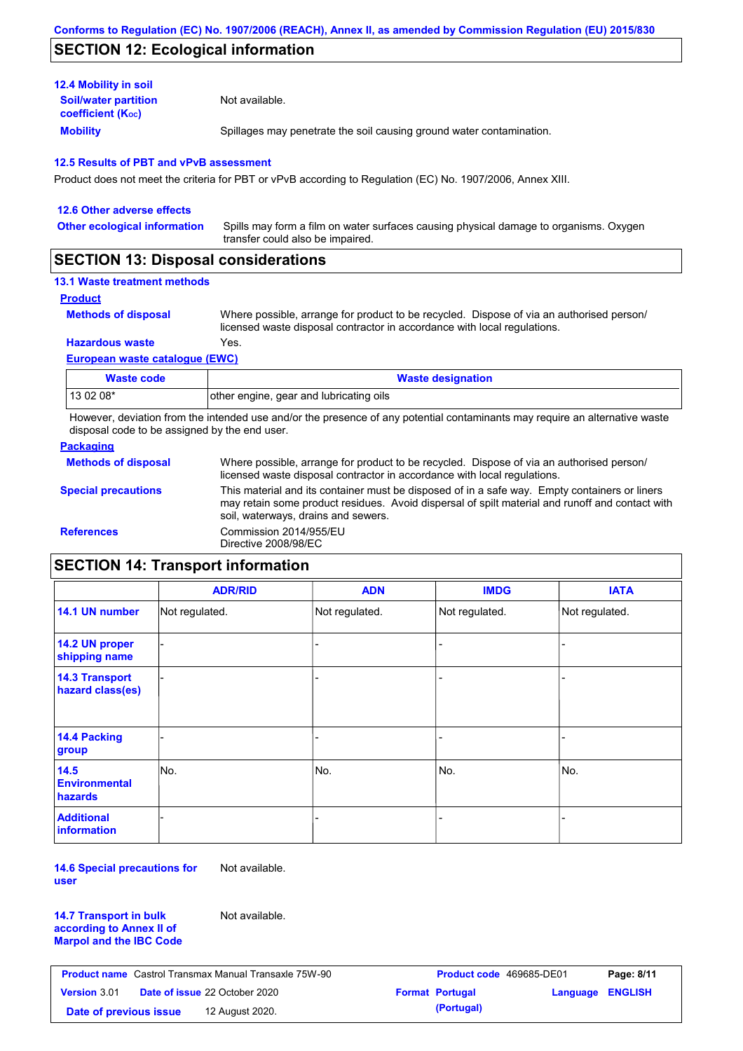# **SECTION 12: Ecological information**

| <b>12.4 Mobility in soil</b>                            |                                                                      |
|---------------------------------------------------------|----------------------------------------------------------------------|
| <b>Soil/water partition</b><br><b>coefficient (Koc)</b> | Not available.                                                       |
| <b>Mobility</b>                                         | Spillages may penetrate the soil causing ground water contamination. |

### **12.5 Results of PBT and vPvB assessment**

Product does not meet the criteria for PBT or vPvB according to Regulation (EC) No. 1907/2006, Annex XIII.

| 12.6 Other adverse effects          |                                                                                                                           |
|-------------------------------------|---------------------------------------------------------------------------------------------------------------------------|
| <b>Other ecological information</b> | Spills may form a film on water surfaces causing physical damage to organisms. Oxygen<br>transfer could also be impaired. |
|                                     |                                                                                                                           |

## **SECTION 13: Disposal considerations**

## **13.1 Waste treatment methods**

**Product**

**Methods of disposal**

Where possible, arrange for product to be recycled. Dispose of via an authorised person/ licensed waste disposal contractor in accordance with local regulations.

**Hazardous waste** Yes.

### **European waste catalogue (EWC)**

| Waste code | <b>Waste designation</b>                |
|------------|-----------------------------------------|
| 13 02 08*  | other engine, gear and lubricating oils |

However, deviation from the intended use and/or the presence of any potential contaminants may require an alternative waste disposal code to be assigned by the end user.

### **Packaging**

| <b>Methods of disposal</b> | Where possible, arrange for product to be recycled. Dispose of via an authorised person/<br>licensed waste disposal contractor in accordance with local regulations.                                                                    |
|----------------------------|-----------------------------------------------------------------------------------------------------------------------------------------------------------------------------------------------------------------------------------------|
| <b>Special precautions</b> | This material and its container must be disposed of in a safe way. Empty containers or liners<br>may retain some product residues. Avoid dispersal of spilt material and runoff and contact with<br>soil, waterways, drains and sewers. |
| <b>References</b>          | Commission 2014/955/EU<br>Directive 2008/98/EC                                                                                                                                                                                          |

# **SECTION 14: Transport information**

|                                                | <b>ADR/RID</b> | <b>ADN</b>     | <b>IMDG</b>    | <b>IATA</b>    |
|------------------------------------------------|----------------|----------------|----------------|----------------|
| 14.1 UN number                                 | Not regulated. | Not regulated. | Not regulated. | Not regulated. |
| 14.2 UN proper<br>shipping name                |                |                |                |                |
| <b>14.3 Transport</b><br>hazard class(es)      |                |                |                |                |
| 14.4 Packing<br>group                          |                |                |                |                |
| 14.5<br><b>Environmental</b><br><b>hazards</b> | No.            | No.            | No.            | No.            |
| <b>Additional</b><br><b>information</b>        |                |                |                |                |

**14.6 Special precautions for user** Not available.

**14.7 Transport in bulk according to Annex II of Marpol and the IBC Code** Not available.

| <b>Product name</b> Castrol Transmax Manual Transaxle 75W-90 |  |                                      | <b>Product code</b> 469685-DE01 | Page: 8/11             |                  |  |
|--------------------------------------------------------------|--|--------------------------------------|---------------------------------|------------------------|------------------|--|
| <b>Version 3.01</b>                                          |  | <b>Date of issue 22 October 2020</b> |                                 | <b>Format Portugal</b> | Language ENGLISH |  |
| Date of previous issue                                       |  | 12 August 2020.                      |                                 | (Portugal)             |                  |  |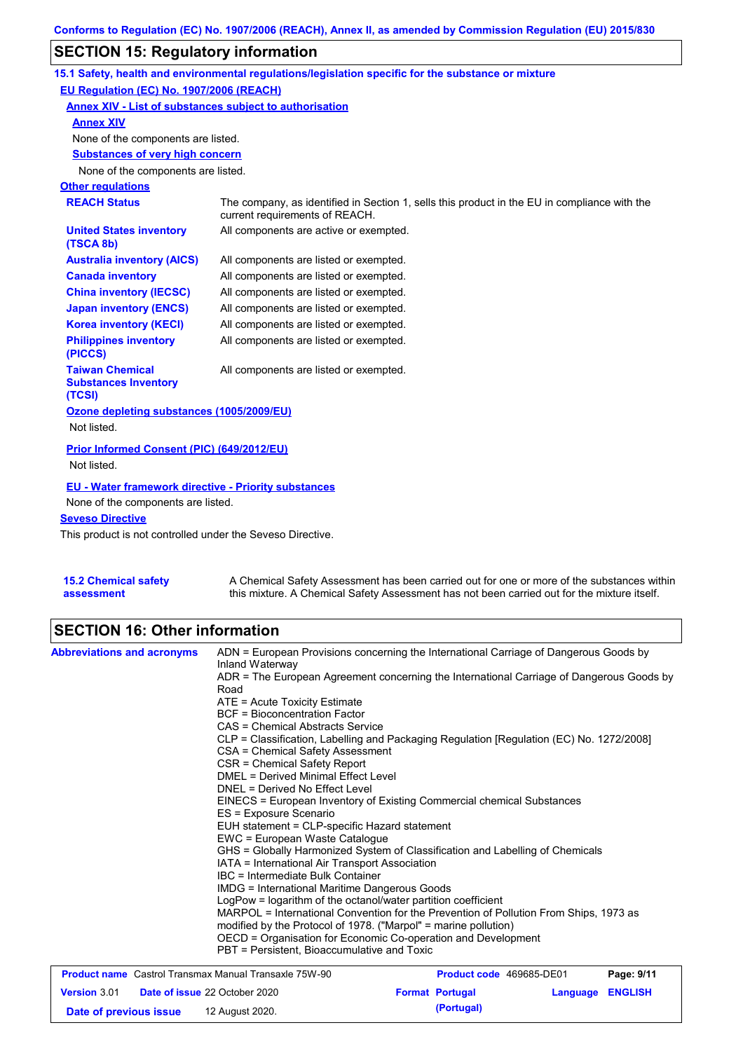# **SECTION 15: Regulatory information**

|                                                                 | 15.1 Safety, health and environmental regulations/legislation specific for the substance or mixture                            |
|-----------------------------------------------------------------|--------------------------------------------------------------------------------------------------------------------------------|
| EU Regulation (EC) No. 1907/2006 (REACH)                        |                                                                                                                                |
| Annex XIV - List of substances subject to authorisation         |                                                                                                                                |
| <b>Annex XIV</b>                                                |                                                                                                                                |
| None of the components are listed.                              |                                                                                                                                |
| <b>Substances of very high concern</b>                          |                                                                                                                                |
| None of the components are listed.                              |                                                                                                                                |
| <b>Other regulations</b>                                        |                                                                                                                                |
| <b>REACH Status</b>                                             | The company, as identified in Section 1, sells this product in the EU in compliance with the<br>current requirements of REACH. |
| <b>United States inventory</b><br>(TSCA 8b)                     | All components are active or exempted.                                                                                         |
| <b>Australia inventory (AICS)</b>                               | All components are listed or exempted.                                                                                         |
| <b>Canada inventory</b>                                         | All components are listed or exempted.                                                                                         |
| <b>China inventory (IECSC)</b>                                  | All components are listed or exempted.                                                                                         |
| <b>Japan inventory (ENCS)</b>                                   | All components are listed or exempted.                                                                                         |
| <b>Korea inventory (KECI)</b>                                   | All components are listed or exempted.                                                                                         |
| <b>Philippines inventory</b><br>(PICCS)                         | All components are listed or exempted.                                                                                         |
| <b>Taiwan Chemical</b><br><b>Substances Inventory</b><br>(TCSI) | All components are listed or exempted.                                                                                         |
| Ozone depleting substances (1005/2009/EU)                       |                                                                                                                                |
| Not listed.                                                     |                                                                                                                                |
| Prior Informed Consent (PIC) (649/2012/EU)<br>Not listed.       |                                                                                                                                |
|                                                                 |                                                                                                                                |
| <b>EU - Water framework directive - Priority substances</b>     |                                                                                                                                |
| None of the components are listed.                              |                                                                                                                                |
| <b>Seveso Directive</b>                                         |                                                                                                                                |

This product is not controlled under the Seveso Directive.

| <b>15.2 Chemical safety</b> | A Chemical Safety Assessment has been carried out for one or more of the substances within  |
|-----------------------------|---------------------------------------------------------------------------------------------|
| assessment                  | this mixture. A Chemical Safety Assessment has not been carried out for the mixture itself. |

# **SECTION 16: Other information**

| <b>Abbreviations and acronyms</b>                            | ADN = European Provisions concerning the International Carriage of Dangerous Goods by<br>Inland Waterway                                                                                                                                                                                                                                                                                                                        |                          |                         |            |  |  |  |
|--------------------------------------------------------------|---------------------------------------------------------------------------------------------------------------------------------------------------------------------------------------------------------------------------------------------------------------------------------------------------------------------------------------------------------------------------------------------------------------------------------|--------------------------|-------------------------|------------|--|--|--|
|                                                              | ADR = The European Agreement concerning the International Carriage of Dangerous Goods by<br>Road                                                                                                                                                                                                                                                                                                                                |                          |                         |            |  |  |  |
|                                                              | $ATE = Acute Toxicity Estimate$                                                                                                                                                                                                                                                                                                                                                                                                 |                          |                         |            |  |  |  |
|                                                              | <b>BCF</b> = Bioconcentration Factor                                                                                                                                                                                                                                                                                                                                                                                            |                          |                         |            |  |  |  |
|                                                              | CAS = Chemical Abstracts Service                                                                                                                                                                                                                                                                                                                                                                                                |                          |                         |            |  |  |  |
|                                                              | CLP = Classification, Labelling and Packaging Regulation [Regulation (EC) No. 1272/2008]                                                                                                                                                                                                                                                                                                                                        |                          |                         |            |  |  |  |
|                                                              | CSA = Chemical Safety Assessment                                                                                                                                                                                                                                                                                                                                                                                                |                          |                         |            |  |  |  |
|                                                              | CSR = Chemical Safety Report<br>DMEL = Derived Minimal Effect Level<br>DNEL = Derived No Effect Level<br>EINECS = European Inventory of Existing Commercial chemical Substances<br>ES = Exposure Scenario<br>EUH statement = CLP-specific Hazard statement<br>EWC = European Waste Catalogue<br>GHS = Globally Harmonized System of Classification and Labelling of Chemicals<br>IATA = International Air Transport Association |                          |                         |            |  |  |  |
|                                                              |                                                                                                                                                                                                                                                                                                                                                                                                                                 |                          |                         |            |  |  |  |
|                                                              |                                                                                                                                                                                                                                                                                                                                                                                                                                 |                          |                         |            |  |  |  |
|                                                              |                                                                                                                                                                                                                                                                                                                                                                                                                                 |                          |                         |            |  |  |  |
|                                                              |                                                                                                                                                                                                                                                                                                                                                                                                                                 |                          |                         |            |  |  |  |
|                                                              |                                                                                                                                                                                                                                                                                                                                                                                                                                 |                          |                         |            |  |  |  |
|                                                              |                                                                                                                                                                                                                                                                                                                                                                                                                                 |                          |                         |            |  |  |  |
|                                                              |                                                                                                                                                                                                                                                                                                                                                                                                                                 |                          |                         |            |  |  |  |
|                                                              |                                                                                                                                                                                                                                                                                                                                                                                                                                 |                          |                         |            |  |  |  |
|                                                              | IBC = Intermediate Bulk Container                                                                                                                                                                                                                                                                                                                                                                                               |                          |                         |            |  |  |  |
|                                                              | <b>IMDG = International Maritime Dangerous Goods</b>                                                                                                                                                                                                                                                                                                                                                                            |                          |                         |            |  |  |  |
|                                                              | LogPow = logarithm of the octanol/water partition coefficient                                                                                                                                                                                                                                                                                                                                                                   |                          |                         |            |  |  |  |
|                                                              | MARPOL = International Convention for the Prevention of Pollution From Ships, 1973 as<br>modified by the Protocol of 1978. ("Marpol" = marine pollution)<br>OECD = Organisation for Economic Co-operation and Development                                                                                                                                                                                                       |                          |                         |            |  |  |  |
|                                                              |                                                                                                                                                                                                                                                                                                                                                                                                                                 |                          |                         |            |  |  |  |
|                                                              |                                                                                                                                                                                                                                                                                                                                                                                                                                 |                          |                         |            |  |  |  |
|                                                              | PBT = Persistent, Bioaccumulative and Toxic                                                                                                                                                                                                                                                                                                                                                                                     |                          |                         |            |  |  |  |
| <b>Product name</b> Castrol Transmax Manual Transaxle 75W-90 |                                                                                                                                                                                                                                                                                                                                                                                                                                 | Product code 469685-DE01 |                         | Page: 9/11 |  |  |  |
| <b>Version 3.01</b>                                          | <b>Date of issue 22 October 2020</b>                                                                                                                                                                                                                                                                                                                                                                                            | <b>Format Portugal</b>   | <b>Language ENGLISH</b> |            |  |  |  |

**Date of previous issue (Portugal)** 12 August 2020.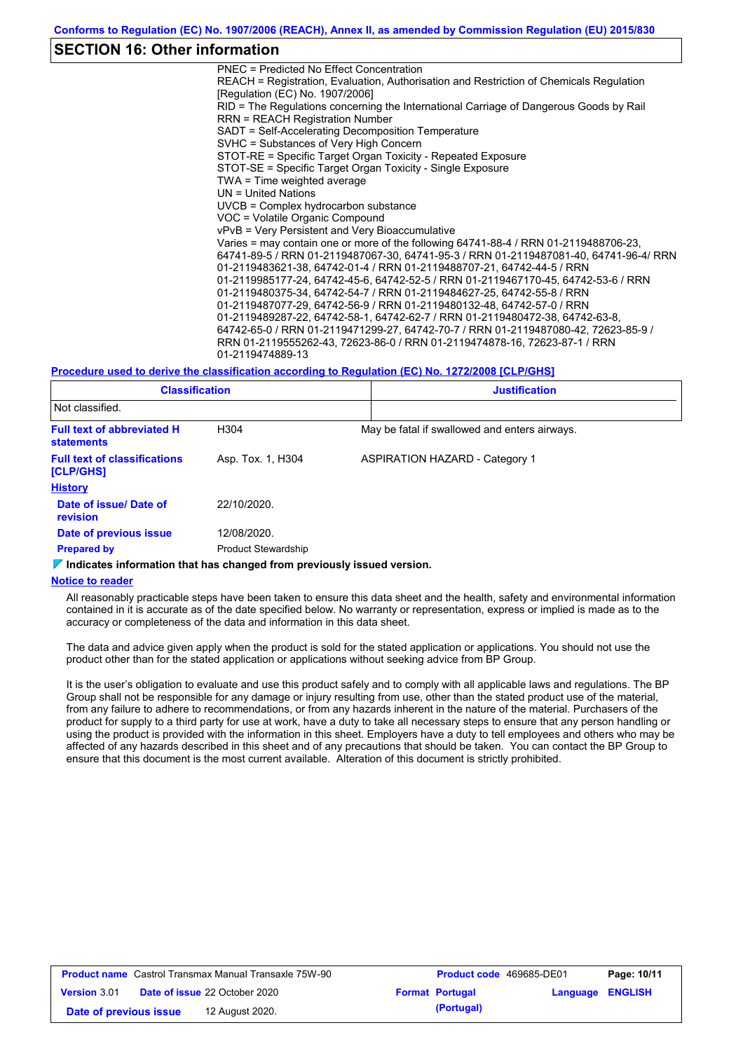## **SECTION 16: Other information**

PNEC = Predicted No Effect Concentration REACH = Registration, Evaluation, Authorisation and Restriction of Chemicals Regulation [Regulation (EC) No. 1907/2006] RID = The Regulations concerning the International Carriage of Dangerous Goods by Rail RRN = REACH Registration Number SADT = Self-Accelerating Decomposition Temperature SVHC = Substances of Very High Concern STOT-RE = Specific Target Organ Toxicity - Repeated Exposure STOT-SE = Specific Target Organ Toxicity - Single Exposure TWA = Time weighted average UN = United Nations UVCB = Complex hydrocarbon substance VOC = Volatile Organic Compound vPvB = Very Persistent and Very Bioaccumulative Varies = may contain one or more of the following 64741-88-4 / RRN 01-2119488706-23, 64741-89-5 / RRN 01-2119487067-30, 64741-95-3 / RRN 01-2119487081-40, 64741-96-4/ RRN 01-2119483621-38, 64742-01-4 / RRN 01-2119488707-21, 64742-44-5 / RRN 01-2119985177-24, 64742-45-6, 64742-52-5 / RRN 01-2119467170-45, 64742-53-6 / RRN 01-2119480375-34, 64742-54-7 / RRN 01-2119484627-25, 64742-55-8 / RRN 01-2119487077-29, 64742-56-9 / RRN 01-2119480132-48, 64742-57-0 / RRN 01-2119489287-22, 64742-58-1, 64742-62-7 / RRN 01-2119480472-38, 64742-63-8, 64742-65-0 / RRN 01-2119471299-27, 64742-70-7 / RRN 01-2119487080-42, 72623-85-9 / RRN 01-2119555262-43, 72623-86-0 / RRN 01-2119474878-16, 72623-87-1 / RRN 01-2119474889-13

### **Procedure used to derive the classification according to Regulation (EC) No. 1272/2008 [CLP/GHS]**

| <b>Classification</b><br>Not classified.               |                            | <b>Justification</b> |                                               |  |
|--------------------------------------------------------|----------------------------|----------------------|-----------------------------------------------|--|
|                                                        |                            |                      |                                               |  |
| <b>Full text of abbreviated H</b><br><b>statements</b> | H304                       |                      | May be fatal if swallowed and enters airways. |  |
| <b>Full text of classifications</b><br>[CLP/GHS]       | Asp. Tox. 1, H304          |                      | <b>ASPIRATION HAZARD - Category 1</b>         |  |
| <b>History</b>                                         |                            |                      |                                               |  |
| Date of issue/ Date of<br><b>revision</b>              | 22/10/2020.                |                      |                                               |  |
| Date of previous issue                                 | 12/08/2020.                |                      |                                               |  |
| <b>Prepared by</b>                                     | <b>Product Stewardship</b> |                      |                                               |  |

#### **Indicates information that has changed from previously issued version.**

#### **Notice to reader**

All reasonably practicable steps have been taken to ensure this data sheet and the health, safety and environmental information contained in it is accurate as of the date specified below. No warranty or representation, express or implied is made as to the accuracy or completeness of the data and information in this data sheet.

The data and advice given apply when the product is sold for the stated application or applications. You should not use the product other than for the stated application or applications without seeking advice from BP Group.

It is the user's obligation to evaluate and use this product safely and to comply with all applicable laws and regulations. The BP Group shall not be responsible for any damage or injury resulting from use, other than the stated product use of the material, from any failure to adhere to recommendations, or from any hazards inherent in the nature of the material. Purchasers of the product for supply to a third party for use at work, have a duty to take all necessary steps to ensure that any person handling or using the product is provided with the information in this sheet. Employers have a duty to tell employees and others who may be affected of any hazards described in this sheet and of any precautions that should be taken. You can contact the BP Group to ensure that this document is the most current available. Alteration of this document is strictly prohibited.

| <b>Product name</b> Castrol Transmax Manual Transaxle 75W-90 |  |                                      | <b>Product code</b> 469685-DE01 |                        | Page: 10/11             |  |
|--------------------------------------------------------------|--|--------------------------------------|---------------------------------|------------------------|-------------------------|--|
| <b>Version 3.01</b>                                          |  | <b>Date of issue 22 October 2020</b> |                                 | <b>Format Portugal</b> | <b>Language ENGLISH</b> |  |
| Date of previous issue                                       |  | 12 August 2020.                      |                                 | (Portugal)             |                         |  |